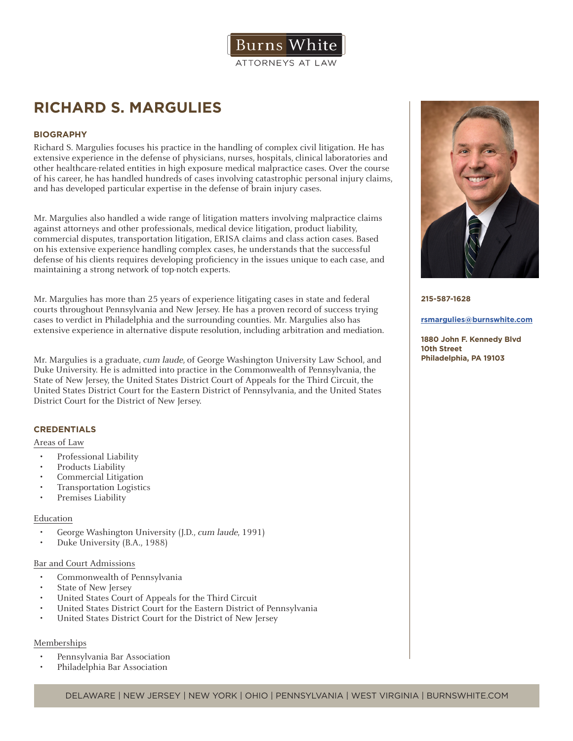

# **RICHARD S. MARGULIES**

# **BIOGRAPHY**

Richard S. Margulies focuses his practice in the handling of complex civil litigation. He has extensive experience in the defense of physicians, nurses, hospitals, clinical laboratories and other healthcare-related entities in high exposure medical malpractice cases. Over the course of his career, he has handled hundreds of cases involving catastrophic personal injury claims, and has developed particular expertise in the defense of brain injury cases.

Mr. Margulies also handled a wide range of litigation matters involving malpractice claims against attorneys and other professionals, medical device litigation, product liability, commercial disputes, transportation litigation, ERISA claims and class action cases. Based on his extensive experience handling complex cases, he understands that the successful defense of his clients requires developing proficiency in the issues unique to each case, and maintaining a strong network of top-notch experts.

Mr. Margulies has more than 25 years of experience litigating cases in state and federal courts throughout Pennsylvania and New Jersey. He has a proven record of success trying cases to verdict in Philadelphia and the surrounding counties. Mr. Margulies also has extensive experience in alternative dispute resolution, including arbitration and mediation.

Mr. Margulies is a graduate, cum laude, of George Washington University Law School, and Duke University. He is admitted into practice in the Commonwealth of Pennsylvania, the State of New Jersey, the United States District Court of Appeals for the Third Circuit, the United States District Court for the Eastern District of Pennsylvania, and the United States District Court for the District of New Jersey.

## **CREDENTIALS**

# Areas of Law

- Professional Liability
- Products Liability
- Commercial Litigation
- Transportation Logistics
- Premises Liability

## Education

- George Washington University (J.D., cum laude, 1991)
- Duke University (B.A., 1988)

#### Bar and Court Admissions

- Commonwealth of Pennsylvania
- State of New Jersey
- United States Court of Appeals for the Third Circuit
- United States District Court for the Eastern District of Pennsylvania
- United States District Court for the District of New Jersey

## Memberships

- Pennsylvania Bar Association
- Philadelphia Bar Association



#### **215-587-1628**

#### **rsmargulies@burnswhite.com**

**1880 John F. Kennedy Blvd 10th Street Philadelphia, PA 19103**